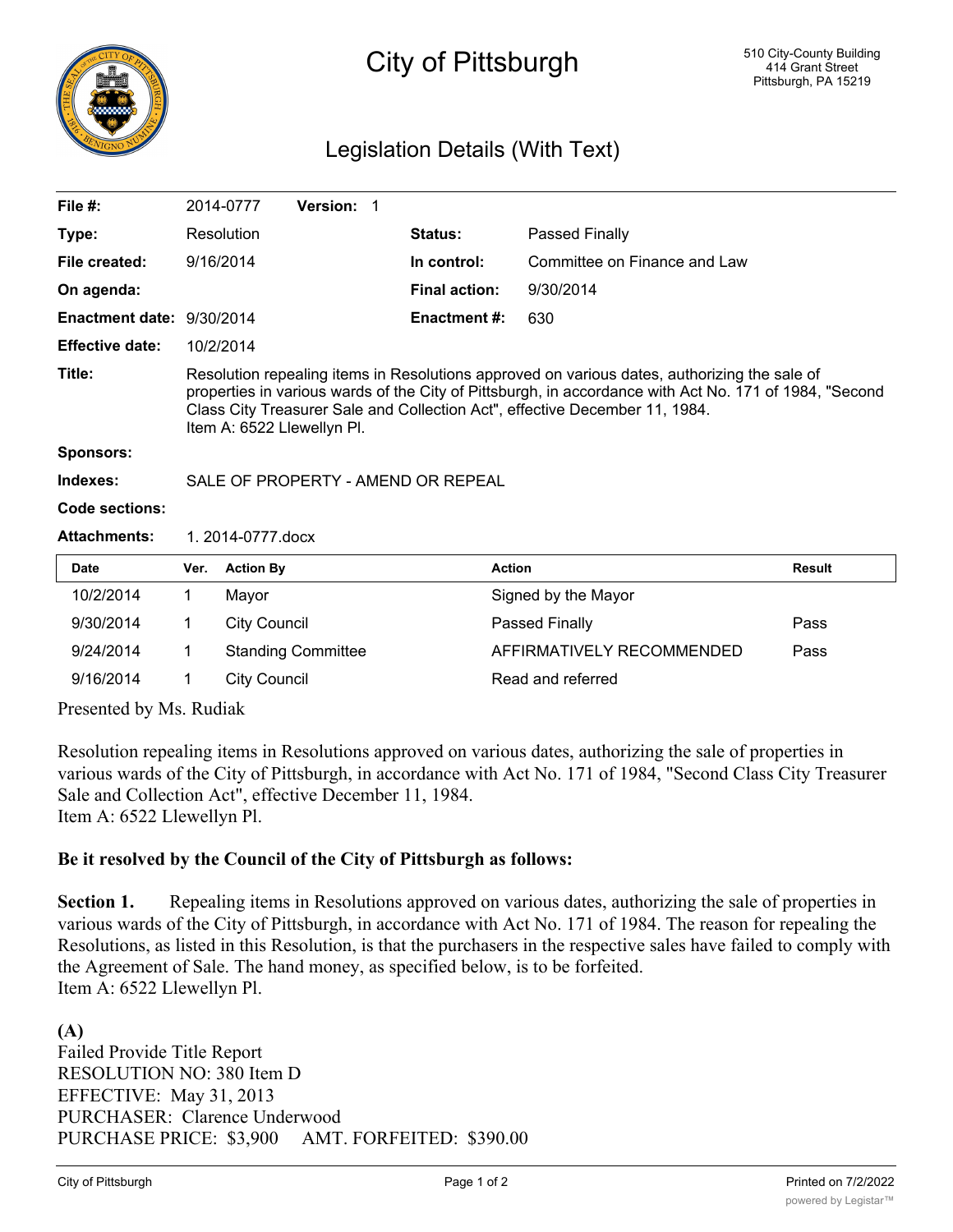

## City of Pittsburgh

## Legislation Details (With Text)

| File $#$ :                |                                                                                                                                                                                                                                                                                                                     | 2014-0777        | <b>Version: 1</b> |  |                      |                              |               |  |  |
|---------------------------|---------------------------------------------------------------------------------------------------------------------------------------------------------------------------------------------------------------------------------------------------------------------------------------------------------------------|------------------|-------------------|--|----------------------|------------------------------|---------------|--|--|
| Type:                     |                                                                                                                                                                                                                                                                                                                     | Resolution       |                   |  | <b>Status:</b>       | Passed Finally               |               |  |  |
| File created:             |                                                                                                                                                                                                                                                                                                                     | 9/16/2014        |                   |  | In control:          | Committee on Finance and Law |               |  |  |
| On agenda:                |                                                                                                                                                                                                                                                                                                                     |                  |                   |  | <b>Final action:</b> | 9/30/2014                    |               |  |  |
| Enactment date: 9/30/2014 |                                                                                                                                                                                                                                                                                                                     |                  |                   |  | <b>Enactment #:</b>  | 630                          |               |  |  |
| <b>Effective date:</b>    |                                                                                                                                                                                                                                                                                                                     | 10/2/2014        |                   |  |                      |                              |               |  |  |
| Title:                    | Resolution repealing items in Resolutions approved on various dates, authorizing the sale of<br>properties in various wards of the City of Pittsburgh, in accordance with Act No. 171 of 1984, "Second<br>Class City Treasurer Sale and Collection Act", effective December 11, 1984.<br>Item A: 6522 Llewellyn PI. |                  |                   |  |                      |                              |               |  |  |
| <b>Sponsors:</b>          |                                                                                                                                                                                                                                                                                                                     |                  |                   |  |                      |                              |               |  |  |
| Indexes:                  | SALE OF PROPERTY - AMEND OR REPEAL                                                                                                                                                                                                                                                                                  |                  |                   |  |                      |                              |               |  |  |
| Code sections:            |                                                                                                                                                                                                                                                                                                                     |                  |                   |  |                      |                              |               |  |  |
| <b>Attachments:</b>       |                                                                                                                                                                                                                                                                                                                     | 1.2014-0777.docx |                   |  |                      |                              |               |  |  |
| Date                      | Ver.                                                                                                                                                                                                                                                                                                                | <b>Action By</b> |                   |  | <b>Action</b>        |                              | <b>Result</b> |  |  |
| 10/2/2014                 | 1                                                                                                                                                                                                                                                                                                                   | Mayor            |                   |  |                      | Signed by the Mayor          |               |  |  |

| 10/2/2014 | Mayor                     | Signed by the Mayor       |      |
|-----------|---------------------------|---------------------------|------|
| 9/30/2014 | City Council              | <b>Passed Finally</b>     | Pass |
| 9/24/2014 | <b>Standing Committee</b> | AFFIRMATIVELY RECOMMENDED | Pass |
| 9/16/2014 | City Council              | Read and referred         |      |
|           |                           |                           |      |

Presented by Ms. Rudiak

Resolution repealing items in Resolutions approved on various dates, authorizing the sale of properties in various wards of the City of Pittsburgh, in accordance with Act No. 171 of 1984, "Second Class City Treasurer Sale and Collection Act", effective December 11, 1984. Item A: 6522 Llewellyn Pl.

## **Be it resolved by the Council of the City of Pittsburgh as follows:**

**Section 1.** Repealing items in Resolutions approved on various dates, authorizing the sale of properties in various wards of the City of Pittsburgh, in accordance with Act No. 171 of 1984. The reason for repealing the Resolutions, as listed in this Resolution, is that the purchasers in the respective sales have failed to comply with the Agreement of Sale. The hand money, as specified below, is to be forfeited. Item A: 6522 Llewellyn Pl.

**(A)** Failed Provide Title Report RESOLUTION NO: 380 Item D EFFECTIVE: May 31, 2013 PURCHASER: Clarence Underwood PURCHASE PRICE: \$3,900 AMT. FORFEITED: \$390.00